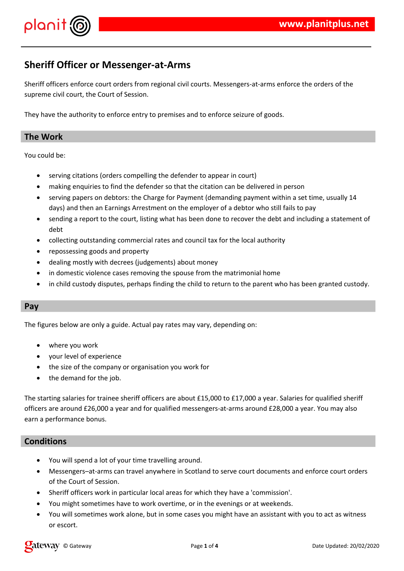

# **Sheriff Officer or Messenger-at-Arms**

Sheriff officers enforce court orders from regional civil courts. Messengers-at-arms enforce the orders of the supreme civil court, the Court of Session.

They have the authority to enforce entry to premises and to enforce seizure of goods.

## **The Work**

You could be:

- serving citations (orders compelling the defender to appear in court)
- making enquiries to find the defender so that the citation can be delivered in person
- serving papers on debtors: the Charge for Payment (demanding payment within a set time, usually 14 days) and then an Earnings Arrestment on the employer of a debtor who still fails to pay
- sending a report to the court, listing what has been done to recover the debt and including a statement of debt
- collecting outstanding commercial rates and council tax for the local authority
- repossessing goods and property
- dealing mostly with decrees (judgements) about money
- in domestic violence cases removing the spouse from the matrimonial home
- in child custody disputes, perhaps finding the child to return to the parent who has been granted custody.

#### **Pay**

The figures below are only a guide. Actual pay rates may vary, depending on:

- where you work
- your level of experience
- the size of the company or organisation you work for
- the demand for the job.

The starting salaries for trainee sheriff officers are about £15,000 to £17,000 a year. Salaries for qualified sheriff officers are around £26,000 a year and for qualified messengers-at-arms around £28,000 a year. You may also earn a performance bonus.

## **Conditions**

- You will spend a lot of your time travelling around.
- Messengers–at-arms can travel anywhere in Scotland to serve court documents and enforce court orders of the Court of Session.
- Sheriff officers work in particular local areas for which they have a 'commission'.
- You might sometimes have to work overtime, or in the evenings or at weekends.
- You will sometimes work alone, but in some cases you might have an assistant with you to act as witness or escort.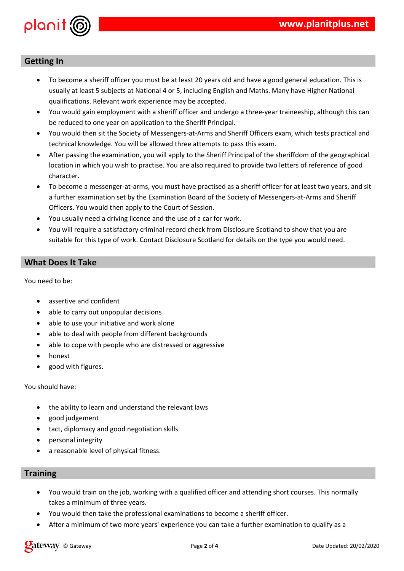

# **Getting In**

- To become a sheriff officer you must be at least 20 years old and have a good general education. This is usually at least 5 subjects at National 4 or 5, including English and Maths. Many have Higher National qualifications. Relevant work experience may be accepted.
- You would gain employment with a sheriff officer and undergo a three-year traineeship, although this can be reduced to one year on application to the Sheriff Principal.
- You would then sit the Society of Messengers-at-Arms and Sheriff Officers exam, which tests practical and technical knowledge. You will be allowed three attempts to pass this exam.
- After passing the examination, you will apply to the Sheriff Principal of the sheriffdom of the geographical location in which you wish to practise. You are also required to provide two letters of reference of good character.
- To become a messenger-at-arms, you must have practised as a sheriff officer for at least two years, and sit a further examination set by the Examination Board of the Society of Messengers-at-Arms and Sheriff Officers. You would then apply to the Court of Session.
- You usually need a driving licence and the use of a car for work.
- You will require a satisfactory criminal record check from Disclosure Scotland to show that you are suitable for this type of work. Contact Disclosure Scotland for details on the type you would need.

#### **What Does It Take**

You need to be:

- assertive and confident
- able to carry out unpopular decisions
- able to use your initiative and work alone
- able to deal with people from different backgrounds
- able to cope with people who are distressed or aggressive
- honest
- good with figures.

You should have:

- the ability to learn and understand the relevant laws
- good judgement
- tact, diplomacy and good negotiation skills
- personal integrity
- a reasonable level of physical fitness.

#### **Training**

- You would train on the job, working with a qualified officer and attending short courses. This normally takes a minimum of three years.
- You would then take the professional examinations to become a sheriff officer.
- After a minimum of two more years' experience you can take a further examination to qualify as a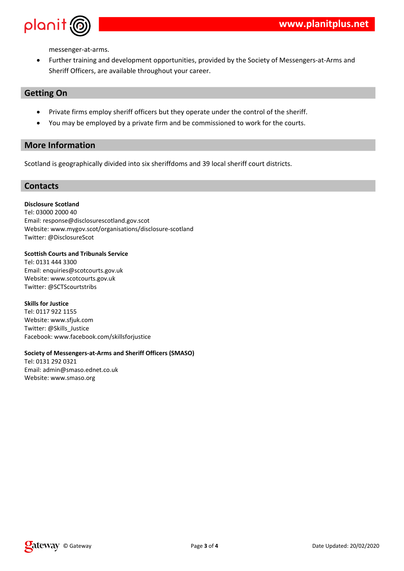

messenger-at-arms.

 Further training and development opportunities, provided by the Society of Messengers-at-Arms and Sheriff Officers, are available throughout your career.

# **Getting On**

- Private firms employ sheriff officers but they operate under the control of the sheriff.
- You may be employed by a private firm and be commissioned to work for the courts.

# **More Information**

Scotland is geographically divided into six sheriffdoms and 39 local sheriff court districts.

#### **Contacts**

#### **Disclosure Scotland**

Tel: 03000 2000 40 Email: response@disclosurescotland.gov.scot Website: www.mygov.scot/organisations/disclosure-scotland Twitter: @DisclosureScot

#### **Scottish Courts and Tribunals Service**

Tel: 0131 444 3300 Email: enquiries@scotcourts.gov.uk Website: www.scotcourts.gov.uk Twitter: @SCTScourtstribs

#### **Skills for Justice**

Tel: 0117 922 1155 Website: www.sfjuk.com Twitter: @Skills\_Justice Facebook: www.facebook.com/skillsforjustice

#### **Society of Messengers-at-Arms and Sheriff Officers (SMASO)**

Tel: 0131 292 0321 Email: admin@smaso.ednet.co.uk Website: www.smaso.org